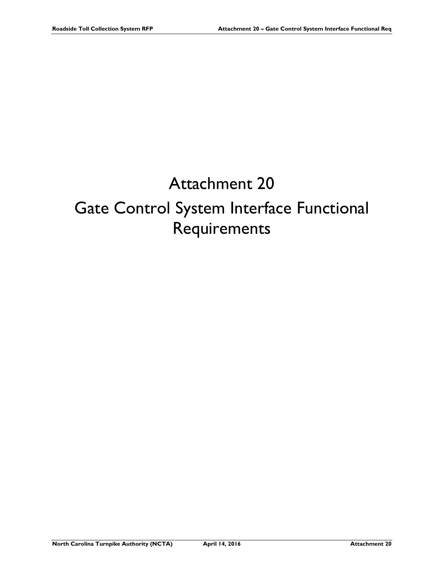# Attachment 20 Gate Control System Interface Functional Requirements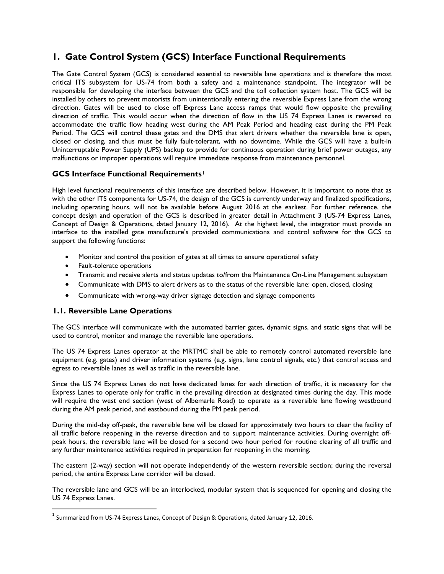# **1. Gate Control System (GCS) Interface Functional Requirements**

The Gate Control System (GCS) is considered essential to reversible lane operations and is therefore the most critical ITS subsystem for US-74 from both a safety and a maintenance standpoint. The integrator will be responsible for developing the interface between the GCS and the toll collection system host. The GCS will be installed by others to prevent motorists from unintentionally entering the reversible Express Lane from the wrong direction. Gates will be used to close off Express Lane access ramps that would flow opposite the prevailing direction of traffic. This would occur when the direction of flow in the US 74 Express Lanes is reversed to accommodate the traffic flow heading west during the AM Peak Period and heading east during the PM Peak Period. The GCS will control these gates and the DMS that alert drivers whether the reversible lane is open, closed or closing, and thus must be fully fault-tolerant, with no downtime. While the GCS will have a built-in Uninterruptable Power Supply (UPS) backup to provide for continuous operation during brief power outages, any malfunctions or improper operations will require immediate response from maintenance personnel.

## **GCS Interface Functional Requirements[1](#page-1-0)**

High level functional requirements of this interface are described below. However, it is important to note that as with the other ITS components for US-74, the design of the GCS is currently underway and finalized specifications, including operating hours, will not be available before August 2016 at the earliest. For further reference, the concept design and operation of the GCS is described in greater detail in Attachment 3 (US-74 Express Lanes, Concept of Design & Operations, dated January 12, 2016). At the highest level, the integrator must provide an interface to the installed gate manufacture's provided communications and control software for the GCS to support the following functions:

- Monitor and control the position of gates at all times to ensure operational safety
- Fault-tolerate operations
- Transmit and receive alerts and status updates to/from the Maintenance On-Line Management subsystem
- Communicate with DMS to alert drivers as to the status of the reversible lane: open, closed, closing
- Communicate with wrong-way driver signage detection and signage components

#### **1.1. Reversible Lane Operations**

The GCS interface will communicate with the automated barrier gates, dynamic signs, and static signs that will be used to control, monitor and manage the reversible lane operations.

The US 74 Express Lanes operator at the MRTMC shall be able to remotely control automated reversible lane equipment (e.g. gates) and driver information systems (e.g. signs, lane control signals, etc.) that control access and egress to reversible lanes as well as traffic in the reversible lane.

Since the US 74 Express Lanes do not have dedicated lanes for each direction of traffic, it is necessary for the Express Lanes to operate only for traffic in the prevailing direction at designated times during the day. This mode will require the west end section (west of Albemarle Road) to operate as a reversible lane flowing westbound during the AM peak period, and eastbound during the PM peak period.

During the mid-day off-peak, the reversible lane will be closed for approximately two hours to clear the facility of all traffic before reopening in the reverse direction and to support maintenance activities. During overnight offpeak hours, the reversible lane will be closed for a second two hour period for routine clearing of all traffic and any further maintenance activities required in preparation for reopening in the morning.

The eastern (2-way) section will not operate independently of the western reversible section; during the reversal period, the entire Express Lane corridor will be closed.

The reversible lane and GCS will be an interlocked, modular system that is sequenced for opening and closing the US 74 Express Lanes.

<span id="page-1-0"></span> $<sup>1</sup>$  Summarized from US-74 Express Lanes, Concept of Design & Operations, dated January 12, 2016.</sup>